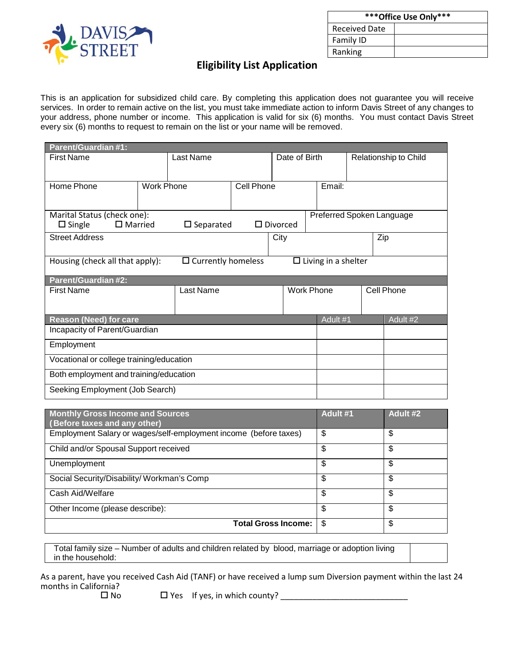

| *** Office Use Only*** |  |  |
|------------------------|--|--|
| <b>Received Date</b>   |  |  |
| Family ID              |  |  |
| Ranking                |  |  |

## **Eligibility List Application**

This is an application for subsidized child care. By completing this application does not guarantee you will receive services. In order to remain active on the list, you must take immediate action to inform Davis Street of any changes to your address, phone number or income. This application is valid for six (6) months. You must contact Davis Street every six (6) months to request to remain on the list or your name will be removed.

| <b>Parent/Guardian #1:</b>                                                                 |                   |           |            |               |                   |  |                       |            |
|--------------------------------------------------------------------------------------------|-------------------|-----------|------------|---------------|-------------------|--|-----------------------|------------|
| <b>First Name</b>                                                                          |                   | Last Name |            | Date of Birth |                   |  | Relationship to Child |            |
|                                                                                            |                   |           |            |               |                   |  |                       |            |
| Home Phone                                                                                 | <b>Work Phone</b> |           | Cell Phone |               | Email:            |  |                       |            |
|                                                                                            |                   |           |            |               |                   |  |                       |            |
| Marital Status (check one):<br>Preferred Spoken Language                                   |                   |           |            |               |                   |  |                       |            |
| $\Box$ Married<br>$\square$ Single<br>$\square$ Separated<br>$\Box$ Divorced               |                   |           |            |               |                   |  |                       |            |
| <b>Street Address</b><br>City                                                              |                   |           |            |               | Zip               |  |                       |            |
|                                                                                            |                   |           |            |               |                   |  |                       |            |
| $\Box$ Currently homeless<br>$\Box$ Living in a shelter<br>Housing (check all that apply): |                   |           |            |               |                   |  |                       |            |
| <b>Parent/Guardian #2:</b>                                                                 |                   |           |            |               |                   |  |                       |            |
| <b>First Name</b>                                                                          |                   | Last Name |            |               | <b>Work Phone</b> |  |                       | Cell Phone |
|                                                                                            |                   |           |            |               |                   |  |                       |            |
| <b>Reason (Need) for care</b><br>Adult #1                                                  |                   |           |            | Adult #2      |                   |  |                       |            |
| Incapacity of Parent/Guardian                                                              |                   |           |            |               |                   |  |                       |            |
| Employment                                                                                 |                   |           |            |               |                   |  |                       |            |
| Vocational or college training/education                                                   |                   |           |            |               |                   |  |                       |            |
| Both employment and training/education                                                     |                   |           |            |               |                   |  |                       |            |
| Seeking Employment (Job Search)                                                            |                   |           |            |               |                   |  |                       |            |

| <b>Monthly Gross Income and Sources</b><br>(Before taxes and any other) | Adult #1 | Adult #2 |
|-------------------------------------------------------------------------|----------|----------|
| Employment Salary or wages/self-employment income (before taxes)        | \$       | \$       |
| Child and/or Spousal Support received                                   | \$       | \$       |
| Unemployment                                                            | \$       | \$       |
| Social Security/Disability/Workman's Comp                               | \$       | \$       |
| Cash Aid/Welfare                                                        | \$       | \$       |
| Other Income (please describe):                                         | \$       | \$       |
| <b>Total Gross Income:</b>                                              | \$       | \$       |

Total family size – Number of adults and children related by blood, marriage or adoption living in the household:

As a parent, have you received Cash Aid (TANF) or have received a lump sum Diversion payment within the last 24 months in California?

No Yes If yes, in which county? \_\_\_\_\_\_\_\_\_\_\_\_\_\_\_\_\_\_\_\_\_\_\_\_\_\_\_\_